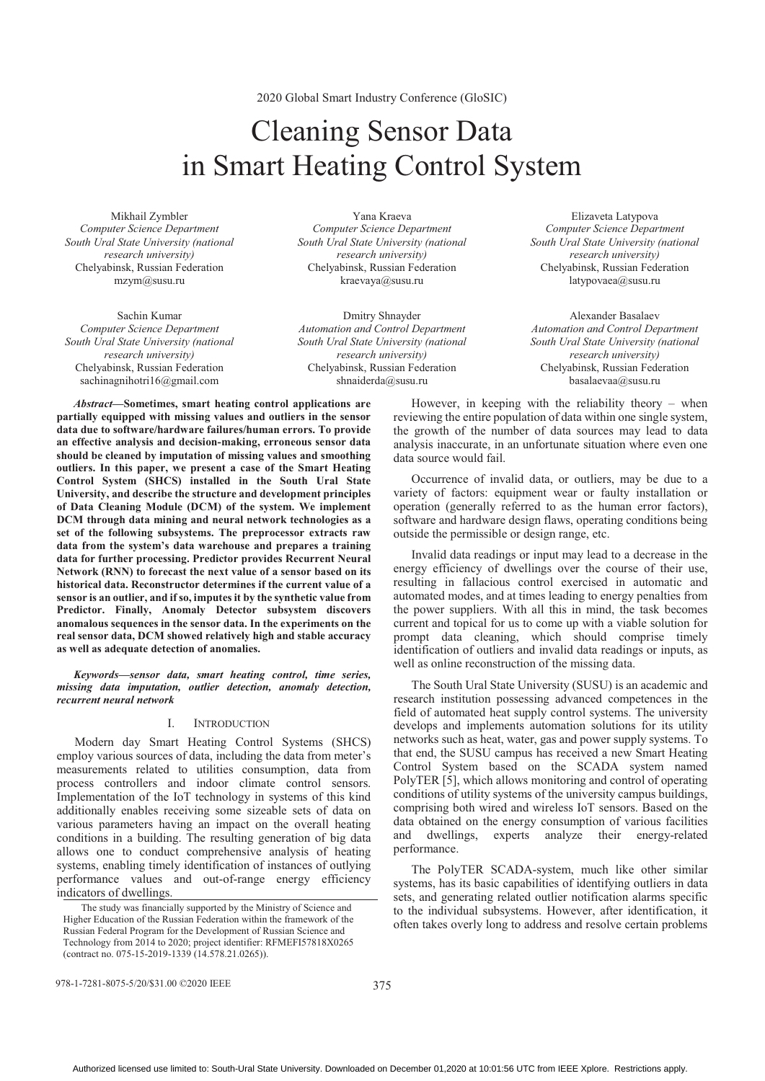2020 Global Smart Industry Conference (GloSIC)

# Cleaning Sensor Data in Smart Heating Control System

Mikhail Zymbler *Computer Science Department South Ural State University (national research university)*  Chelyabinsk, Russian Federation mzym@susu.ru

Sachin Kumar *Computer Science Department South Ural State University (national research university)*  Chelyabinsk, Russian Federation sachinagnihotri16@gmail.com

Yana Kraeva *Computer Science Department South Ural State University (national research university)* Chelyabinsk, Russian Federation kraevaya@susu.ru

Dmitry Shnayder *Automation and Control Department South Ural State University (national research university)*  Chelyabinsk, Russian Federation shnaiderda@susu.ru

data source would fail.

*Abstract***—Sometimes, smart heating control applications are partially equipped with missing values and outliers in the sensor data due to software/hardware failures/human errors. To provide an effective analysis and decision-making, erroneous sensor data should be cleaned by imputation of missing values and smoothing outliers. In this paper, we present a case of the Smart Heating Control System (SHCS) installed in the South Ural State University, and describe the structure and development principles of Data Cleaning Module (DCM) of the system. We implement DCM through data mining and neural network technologies as a set of the following subsystems. The preprocessor extracts raw data from the system's data warehouse and prepares a training data for further processing. Predictor provides Recurrent Neural Network (RNN) to forecast the next value of a sensor based on its historical data. Reconstructor determines if the current value of a sensor is an outlier, and if so, imputes it by the synthetic value from Predictor. Finally, Anomaly Detector subsystem discovers anomalous sequences in the sensor data. In the experiments on the real sensor data, DCM showed relatively high and stable accuracy as well as adequate detection of anomalies.**

*Keywords—sensor data, smart heating control, time series, missing data imputation, outlier detection, anomaly detection, recurrent neural network* 

## I. INTRODUCTION

Modern day Smart Heating Control Systems (SHCS) employ various sources of data, including the data from meter's measurements related to utilities consumption, data from process controllers and indoor climate control sensors. Implementation of the IoT technology in systems of this kind additionally enables receiving some sizeable sets of data on various parameters having an impact on the overall heating conditions in a building. The resulting generation of big data allows one to conduct comprehensive analysis of heating systems, enabling timely identification of instances of outlying performance values and out-of-range energy efficiency indicators of dwellings.

Chelyabinsk, Russian Federation basalaevaa@susu.ru However, in keeping with the reliability theory – when reviewing the entire population of data within one single system, the growth of the number of data sources may lead to data analysis inaccurate, in an unfortunate situation where even one

Elizaveta Latypova *Computer Science Department South Ural State University (national research university)*  Chelyabinsk, Russian Federation latypovaea@susu.ru

Alexander Basalaev *Automation and Control Department South Ural State University (national research university)* 

Occurrence of invalid data, or outliers, may be due to a variety of factors: equipment wear or faulty installation or operation (generally referred to as the human error factors), software and hardware design flaws, operating conditions being outside the permissible or design range, etc.

Invalid data readings or input may lead to a decrease in the energy efficiency of dwellings over the course of their use, resulting in fallacious control exercised in automatic and automated modes, and at times leading to energy penalties from the power suppliers. With all this in mind, the task becomes current and topical for us to come up with a viable solution for prompt data cleaning, which should comprise timely identification of outliers and invalid data readings or inputs, as well as online reconstruction of the missing data.

The South Ural State University (SUSU) is an academic and research institution possessing advanced competences in the field of automated heat supply control systems. The university develops and implements automation solutions for its utility networks such as heat, water, gas and power supply systems. To that end, the SUSU campus has received a new Smart Heating Control System based on the SCADA system named PolyTER [5], which allows monitoring and control of operating conditions of utility systems of the university campus buildings, comprising both wired and wireless IoT sensors. Based on the data obtained on the energy consumption of various facilities and dwellings, experts analyze their energy-related performance.

The PolyTER SCADA-system, much like other similar systems, has its basic capabilities of identifying outliers in data sets, and generating related outlier notification alarms specific to the individual subsystems. However, after identification, it often takes overly long to address and resolve certain problems

978-1-7281-8075-5/20/\$31.00 ©2020 IEEE

The study was financially supported by the Ministry of Science and Higher Education of the Russian Federation within the framework of the Russian Federal Program for the Development of Russian Science and Technology from 2014 to 2020; project identifier: RFMEFI57818X0265 (contract no. 075-15-2019-1339 (14.578.21.0265)).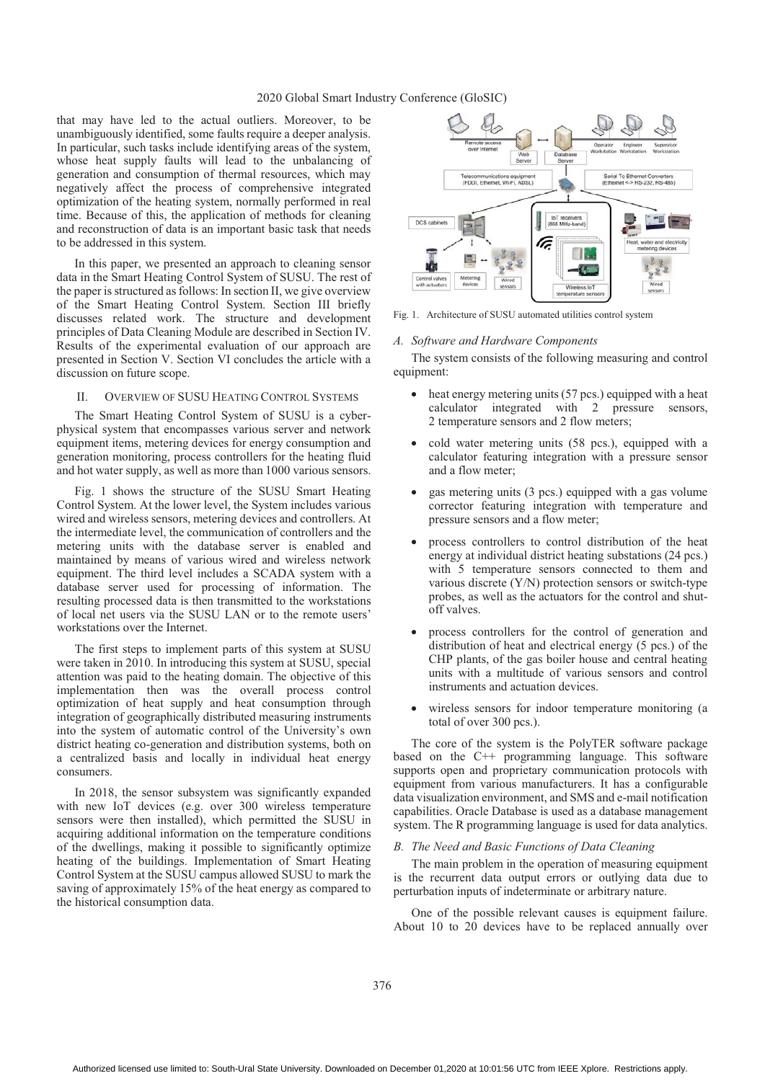## 2020 Global Smart Industry Conference (GloSIC)

that may have led to the actual outliers. Moreover, to be unambiguously identified, some faults require a deeper analysis. In particular, such tasks include identifying areas of the system, whose heat supply faults will lead to the unbalancing of generation and consumption of thermal resources, which may negatively affect the process of comprehensive integrated optimization of the heating system, normally performed in real time. Because of this, the application of methods for cleaning and reconstruction of data is an important basic task that needs to be addressed in this system.

In this paper, we presented an approach to cleaning sensor data in the Smart Heating Control System of SUSU. The rest of the paper is structured as follows: In section II, we give overview of the Smart Heating Control System. Section III briefly discusses related work. The structure and development principles of Data Cleaning Module are described in Section IV. Results of the experimental evaluation of our approach are presented in Section V. Section VI concludes the article with a discussion on future scope.

## II. OVERVIEW OF SUSU HEATING CONTROL SYSTEMS

The Smart Heating Control System of SUSU is a cyberphysical system that encompasses various server and network equipment items, metering devices for energy consumption and generation monitoring, process controllers for the heating fluid and hot water supply, as well as more than 1000 various sensors.

Fig. 1 shows the structure of the SUSU Smart Heating Control System. At the lower level, the System includes various wired and wireless sensors, metering devices and controllers. At the intermediate level, the communication of controllers and the metering units with the database server is enabled and maintained by means of various wired and wireless network equipment. The third level includes a SCADA system with a database server used for processing of information. The resulting processed data is then transmitted to the workstations of local net users via the SUSU LAN or to the remote users' workstations over the Internet.

The first steps to implement parts of this system at SUSU were taken in 2010. In introducing this system at SUSU, special attention was paid to the heating domain. The objective of this implementation then was the overall process control optimization of heat supply and heat consumption through integration of geographically distributed measuring instruments into the system of automatic control of the University's own district heating co-generation and distribution systems, both on a centralized basis and locally in individual heat energy consumers.

In 2018, the sensor subsystem was significantly expanded with new IoT devices (e.g. over 300 wireless temperature sensors were then installed), which permitted the SUSU in acquiring additional information on the temperature conditions of the dwellings, making it possible to significantly optimize heating of the buildings. Implementation of Smart Heating Control System at the SUSU campus allowed SUSU to mark the saving of approximately 15% of the heat energy as compared to the historical consumption data.



Fig. 1. Architecture of SUSU automated utilities control system

#### *A. Software and Hardware Components*

The system consists of the following measuring and control equipment:

- heat energy metering units (57 pcs.) equipped with a heat calculator integrated with 2 pressure sensors, 2 temperature sensors and 2 flow meters;
- cold water metering units (58 pcs.), equipped with a calculator featuring integration with a pressure sensor and a flow meter;
- gas metering units (3 pcs.) equipped with a gas volume corrector featuring integration with temperature and pressure sensors and a flow meter;
- process controllers to control distribution of the heat energy at individual district heating substations (24 pcs.) with 5 temperature sensors connected to them and various discrete (Y/N) protection sensors or switch-type probes, as well as the actuators for the control and shutoff valves.
- process controllers for the control of generation and distribution of heat and electrical energy (5 pcs.) of the CHP plants, of the gas boiler house and central heating units with a multitude of various sensors and control instruments and actuation devices.
- wireless sensors for indoor temperature monitoring (a total of over 300 pcs.).

The core of the system is the PolyTER software package based on the C++ programming language. This software supports open and proprietary communication protocols with equipment from various manufacturers. It has a configurable data visualization environment, and SMS and e-mail notification capabilities. Oracle Database is used as a database management system. The R programming language is used for data analytics.

## *B. The Need and Basic Functions of Data Cleaning*

The main problem in the operation of measuring equipment is the recurrent data output errors or outlying data due to perturbation inputs of indeterminate or arbitrary nature.

One of the possible relevant causes is equipment failure. About 10 to 20 devices have to be replaced annually over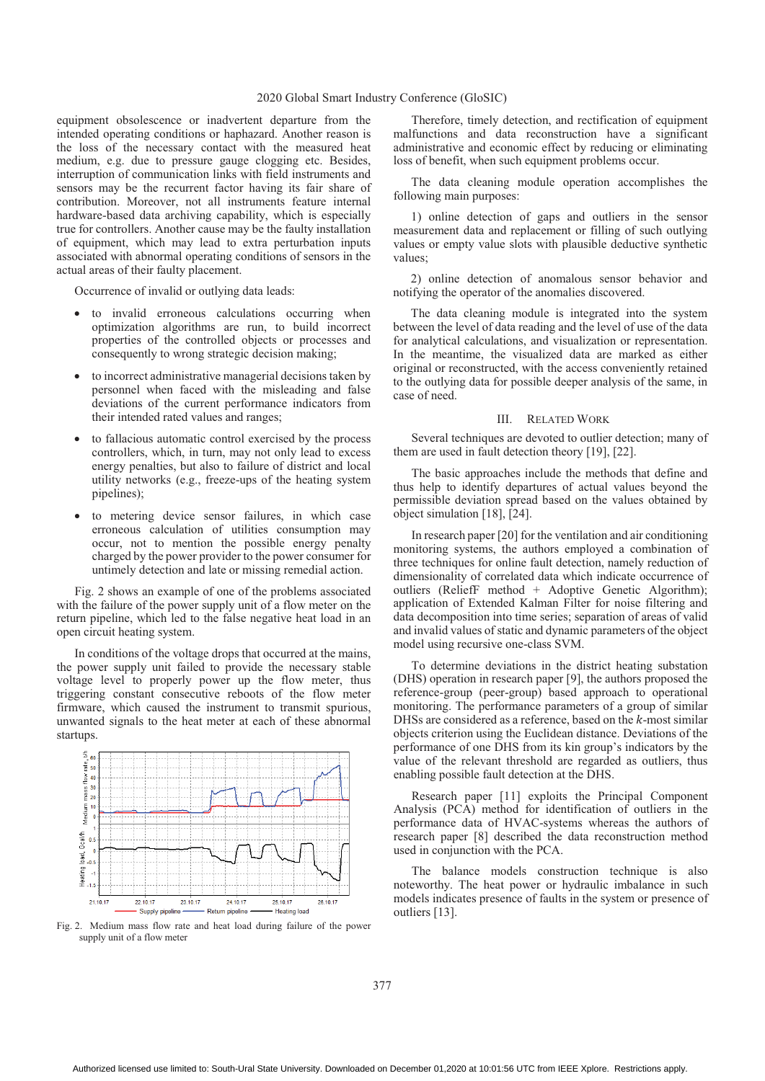## 2020 Global Smart Industry Conference (GloSIC)

equipment obsolescence or inadvertent departure from the intended operating conditions or haphazard. Another reason is the loss of the necessary contact with the measured heat medium, e.g. due to pressure gauge clogging etc. Besides, interruption of communication links with field instruments and sensors may be the recurrent factor having its fair share of contribution. Moreover, not all instruments feature internal hardware-based data archiving capability, which is especially true for controllers. Another cause may be the faulty installation of equipment, which may lead to extra perturbation inputs associated with abnormal operating conditions of sensors in the actual areas of their faulty placement.

Occurrence of invalid or outlying data leads:

- to invalid erroneous calculations occurring when optimization algorithms are run, to build incorrect properties of the controlled objects or processes and consequently to wrong strategic decision making;
- to incorrect administrative managerial decisions taken by personnel when faced with the misleading and false deviations of the current performance indicators from their intended rated values and ranges;
- to fallacious automatic control exercised by the process controllers, which, in turn, may not only lead to excess energy penalties, but also to failure of district and local utility networks (e.g., freeze-ups of the heating system pipelines);
- to metering device sensor failures, in which case erroneous calculation of utilities consumption may occur, not to mention the possible energy penalty charged by the power provider to the power consumer for untimely detection and late or missing remedial action.

Fig. 2 shows an example of one of the problems associated with the failure of the power supply unit of a flow meter on the return pipeline, which led to the false negative heat load in an open circuit heating system.

In conditions of the voltage drops that occurred at the mains, the power supply unit failed to provide the necessary stable voltage level to properly power up the flow meter, thus triggering constant consecutive reboots of the flow meter firmware, which caused the instrument to transmit spurious, unwanted signals to the heat meter at each of these abnormal startups.



Fig. 2. Medium mass flow rate and heat load during failure of the power supply unit of a flow meter

Therefore, timely detection, and rectification of equipment malfunctions and data reconstruction have a significant administrative and economic effect by reducing or eliminating loss of benefit, when such equipment problems occur.

The data cleaning module operation accomplishes the following main purposes:

1) online detection of gaps and outliers in the sensor measurement data and replacement or filling of such outlying values or empty value slots with plausible deductive synthetic values;

2) online detection of anomalous sensor behavior and notifying the operator of the anomalies discovered.

The data cleaning module is integrated into the system between the level of data reading and the level of use of the data for analytical calculations, and visualization or representation. In the meantime, the visualized data are marked as either original or reconstructed, with the access conveniently retained to the outlying data for possible deeper analysis of the same, in case of need.

## III. RELATED WORK

Several techniques are devoted to outlier detection; many of them are used in fault detection theory [19], [22].

The basic approaches include the methods that define and thus help to identify departures of actual values beyond the permissible deviation spread based on the values obtained by object simulation [18], [24].

In research paper [20] for the ventilation and air conditioning monitoring systems, the authors employed a combination of three techniques for online fault detection, namely reduction of dimensionality of correlated data which indicate occurrence of outliers (ReliefF method + Adoptive Genetic Algorithm); application of Extended Kalman Filter for noise filtering and data decomposition into time series; separation of areas of valid and invalid values of static and dynamic parameters of the object model using recursive one-class SVM.

To determine deviations in the district heating substation (DHS) operation in research paper [9], the authors proposed the reference-group (peer-group) based approach to operational monitoring. The performance parameters of a group of similar DHSs are considered as a reference, based on the  $k$ -most similar objects criterion using the Euclidean distance. Deviations of the performance of one DHS from its kin group's indicators by the value of the relevant threshold are regarded as outliers, thus enabling possible fault detection at the DHS.

Research paper [11] exploits the Principal Component Analysis (PCA) method for identification of outliers in the performance data of HVAC-systems whereas the authors of research paper [8] described the data reconstruction method used in conjunction with the PCA.

The balance models construction technique is also noteworthy. The heat power or hydraulic imbalance in such models indicates presence of faults in the system or presence of outliers [13].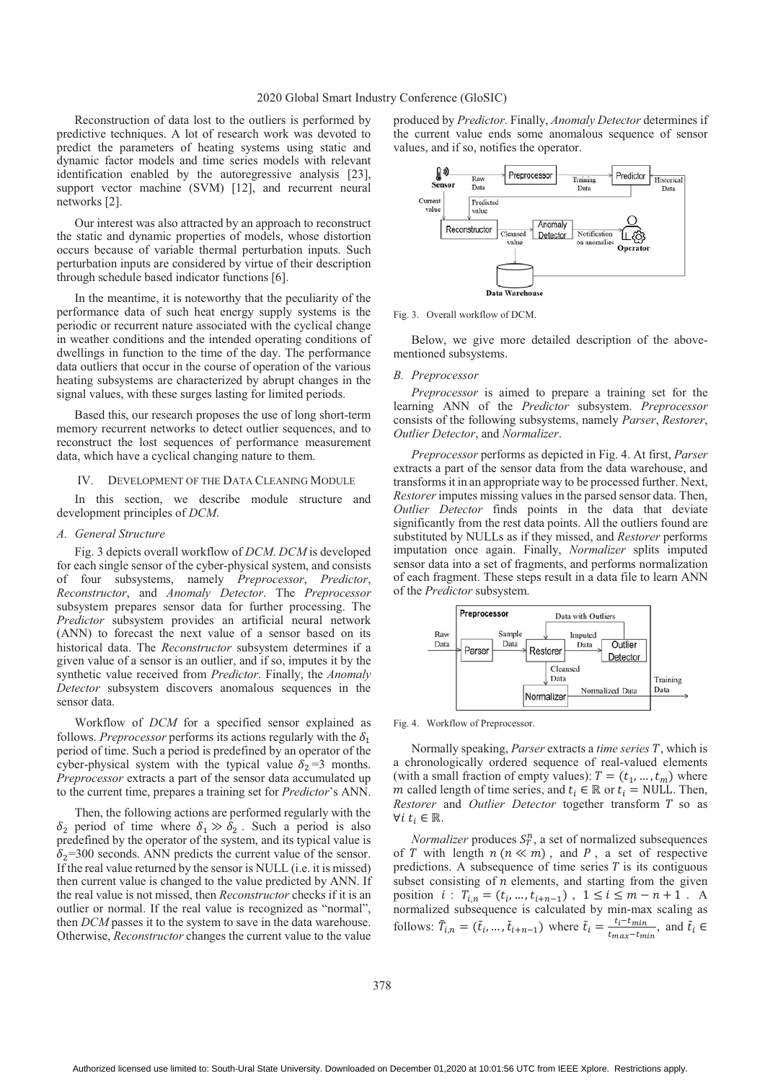Reconstruction of data lost to the outliers is performed by predictive techniques. A lot of research work was devoted to predict the parameters of heating systems using static and dynamic factor models and time series models with relevant identification enabled by the autoregressive analysis [23], support vector machine (SVM) [12], and recurrent neural networks [2].

Our interest was also attracted by an approach to reconstruct the static and dynamic properties of models, whose distortion occurs because of variable thermal perturbation inputs. Such perturbation inputs are considered by virtue of their description through schedule based indicator functions [6].

In the meantime, it is noteworthy that the peculiarity of the performance data of such heat energy supply systems is the periodic or recurrent nature associated with the cyclical change in weather conditions and the intended operating conditions of dwellings in function to the time of the day. The performance data outliers that occur in the course of operation of the various heating subsystems are characterized by abrupt changes in the signal values, with these surges lasting for limited periods.

Based this, our research proposes the use of long short-term memory recurrent networks to detect outlier sequences, and to reconstruct the lost sequences of performance measurement data, which have a cyclical changing nature to them.

#### IV. DEVELOPMENT OF THE DATA CLEANING MODULE

In this section, we describe module structure and development principles of *DCM*.

## *A. General Structure*

Fig. 3 depicts overall workflow of *DCM*. *DCM* is developed for each single sensor of the cyber-physical system, and consists of four subsystems, namely *Preprocessor*, *Predictor*, *Reconstructor*, and *Anomaly Detector*. The *Preprocessor* subsystem prepares sensor data for further processing. The *Predictor* subsystem provides an artificial neural network (ANN) to forecast the next value of a sensor based on its historical data. The *Reconstructor* subsystem determines if a given value of a sensor is an outlier, and if so, imputes it by the synthetic value received from *Predictor*. Finally, the *Anomaly Detector* subsystem discovers anomalous sequences in the sensor data.

Workflow of *DCM* for a specified sensor explained as follows. *Preprocessor* performs its actions regularly with the  $\delta_1$ period of time. Such a period is predefined by an operator of the cyber-physical system with the typical value  $\delta_2$  =3 months. *Preprocessor* extracts a part of the sensor data accumulated up to the current time, prepares a training set for *Predictor*'s ANN.

Then, the following actions are performed regularly with the  $\delta_2$  period of time where  $\delta_1 \gg \delta_2$ . Such a period is also predefined by the operator of the system, and its typical value is  $\delta_2$ =300 seconds. ANN predicts the current value of the sensor. If the real value returned by the sensor is NULL (i.e. it is missed) then current value is changed to the value predicted by ANN. If the real value is not missed, then *Reconstructor* checks if it is an outlier or normal. If the real value is recognized as "normal", then *DCM* passes it to the system to save in the data warehouse. Otherwise, *Reconstructor* changes the current value to the value

produced by *Predictor*. Finally, *Anomaly Detector* determines if the current value ends some anomalous sequence of sensor values, and if so, notifies the operator.



Fig. 3. Overall workflow of DCM.

Below, we give more detailed description of the abovementioned subsystems.

## *B. Preprocessor*

*Preprocessor* is aimed to prepare a training set for the learning ANN of the *Predictor* subsystem. *Preprocessor* consists of the following subsystems, namely *Parser*, *Restorer*, *Outlier Detector*, and *Normalizer*.

*Preprocessor* performs as depicted in Fig. 4. At first, *Parser* extracts a part of the sensor data from the data warehouse, and transforms it in an appropriate way to be processed further. Next, *Restorer* imputes missing values in the parsed sensor data. Then, *Outlier Detector* finds points in the data that deviate significantly from the rest data points. All the outliers found are substituted by NULLs as if they missed, and *Restorer* performs imputation once again. Finally, *Normalizer* splits imputed sensor data into a set of fragments, and performs normalization of each fragment. These steps result in a data file to learn ANN of the *Predictor* subsystem.



Fig. 4. Workflow of Preprocessor.

Normally speaking, *Parser* extracts a *time series* T, which is a chronologically ordered sequence of real-valued elements (with a small fraction of empty values):  $T = (t_1, ..., t_m)$  where m called length of time series, and  $t_i \in \mathbb{R}$  or  $t_i = \text{NULL}$ . Then, *Restorer* and *Outlier Detector* together transform T so as  $\forall i$   $t_i \in \mathbb{R}$ .

*Normalizer* produces  $S_T^n$ , a set of normalized subsequences of T with length  $n (n \ll m)$ , and P, a set of respective predictions. A subsequence of time series  $T$  is its contiguous subset consisting of  $n$  elements, and starting from the given position  $i: T_{i,n} = (t_i, ..., t_{i+n-1})$ ,  $1 \le i \le m-n+1$ . A normalized subsequence is calculated by min-max scaling as follows:  $\tilde{T}_{i,n} = (\tilde{t}_i, ..., \tilde{t}_{i+n-1})$  where  $\tilde{t}_i = \frac{t_i - t_{min}}{t_{max} - t_{min}}$ , and  $\tilde{t}_i \in$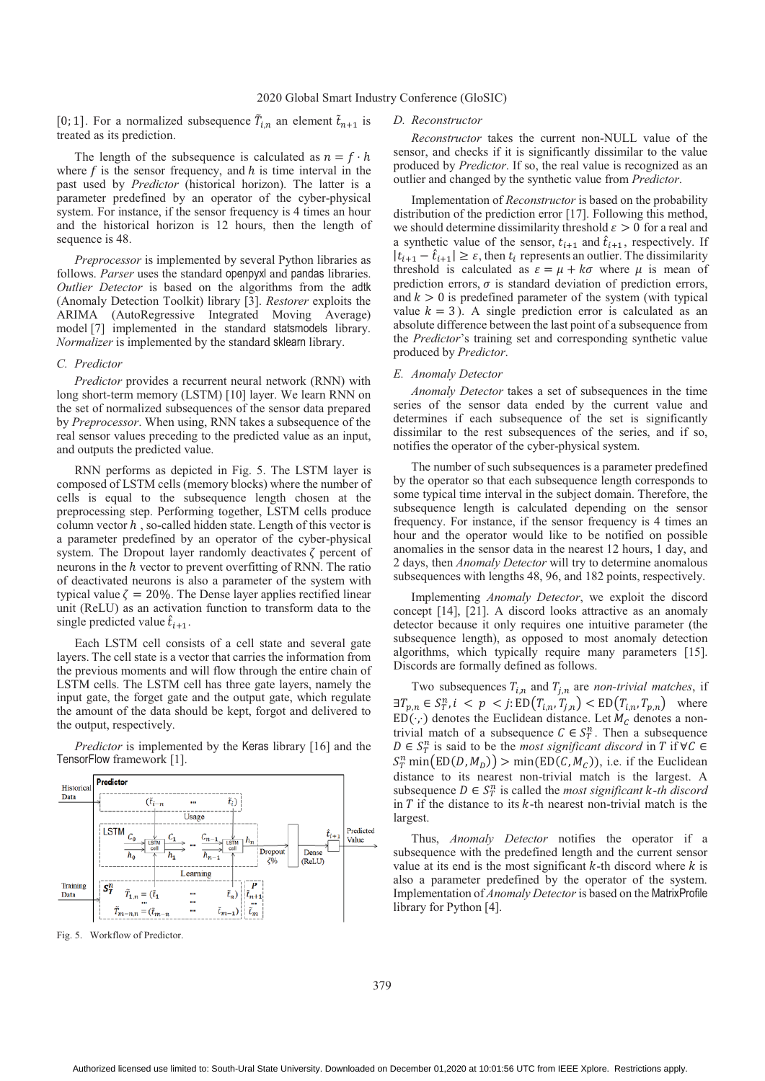[0; 1]. For a normalized subsequence  $\tilde{T}_{i,n}$  an element  $\tilde{t}_{n+1}$  is treated as its prediction.

The length of the subsequence is calculated as  $n = f \cdot h$ where  $f$  is the sensor frequency, and  $h$  is time interval in the past used by *Predictor* (historical horizon). The latter is a parameter predefined by an operator of the cyber-physical system. For instance, if the sensor frequency is 4 times an hour and the historical horizon is 12 hours, then the length of sequence is 48.

*Preprocessor* is implemented by several Python libraries as follows. *Parser* uses the standard openpyxl and pandas libraries. *Outlier Detector* is based on the algorithms from the adtk (Anomaly Detection Toolkit) library [3]. *Restorer* exploits the ARIMA (AutoRegressive Integrated Moving Average) model [7] implemented in the standard statsmodels library. *Normalizer* is implemented by the standard sklearn library.

## *C. Predictor*

*Predictor* provides a recurrent neural network (RNN) with long short-term memory (LSTM) [10] layer. We learn RNN on the set of normalized subsequences of the sensor data prepared by *Preprocessor*. When using, RNN takes a subsequence of the real sensor values preceding to the predicted value as an input, and outputs the predicted value.

RNN performs as depicted in Fig. 5. The LSTM layer is composed of LSTM cells (memory blocks) where the number of cells is equal to the subsequence length chosen at the preprocessing step. Performing together, LSTM cells produce column vector  $h$ , so-called hidden state. Length of this vector is a parameter predefined by an operator of the cyber-physical system. The Dropout layer randomly deactivates  $\zeta$  percent of neurons in the  $h$  vector to prevent overfitting of RNN. The ratio of deactivated neurons is also a parameter of the system with typical value  $\zeta = 20\%$ . The Dense layer applies rectified linear unit (ReLU) as an activation function to transform data to the single predicted value  $\hat{t}_{i+1}$ .

Each LSTM cell consists of a cell state and several gate layers. The cell state is a vector that carries the information from the previous moments and will flow through the entire chain of LSTM cells. The LSTM cell has three gate layers, namely the input gate, the forget gate and the output gate, which regulate the amount of the data should be kept, forgot and delivered to the output, respectively.

*Predictor* is implemented by the Keras library [16] and the TensorFlow framework [1].



Fig. 5. Workflow of Predictor.

#### *D. Reconstructor*

*Reconstructor* takes the current non-NULL value of the sensor, and checks if it is significantly dissimilar to the value produced by *Predictor*. If so, the real value is recognized as an outlier and changed by the synthetic value from *Predictor*.

Implementation of *Reconstructor* is based on the probability distribution of the prediction error [17]. Following this method, we should determine dissimilarity threshold  $\varepsilon > 0$  for a real and a synthetic value of the sensor,  $t_{i+1}$  and  $\hat{t}_{i+1}$ , respectively. If  $|t_{i+1} - \hat{t}_{i+1}| \geq \varepsilon$ , then  $t_i$  represents an outlier. The dissimilarity threshold is calculated as  $\varepsilon = \mu + k\sigma$  where  $\mu$  is mean of prediction errors,  $\sigma$  is standard deviation of prediction errors, and  $k > 0$  is predefined parameter of the system (with typical value  $k = 3$ ). A single prediction error is calculated as an absolute difference between the last point of a subsequence from the *Predictor*'s training set and corresponding synthetic value produced by *Predictor*.

## *E. Anomaly Detector*

*Anomaly Detector* takes a set of subsequences in the time series of the sensor data ended by the current value and determines if each subsequence of the set is significantly dissimilar to the rest subsequences of the series, and if so, notifies the operator of the cyber-physical system.

The number of such subsequences is a parameter predefined by the operator so that each subsequence length corresponds to some typical time interval in the subject domain. Therefore, the subsequence length is calculated depending on the sensor frequency. For instance, if the sensor frequency is 4 times an hour and the operator would like to be notified on possible anomalies in the sensor data in the nearest 12 hours, 1 day, and 2 days, then *Anomaly Detector* will try to determine anomalous subsequences with lengths 48, 96, and 182 points, respectively.

Implementing *Anomaly Detector*, we exploit the discord concept [14], [21]. A discord looks attractive as an anomaly detector because it only requires one intuitive parameter (the subsequence length), as opposed to most anomaly detection algorithms, which typically require many parameters [15]. Discords are formally defined as follows.

Two subsequences  $T_{i,n}$  and  $T_{j,n}$  are *non-trivial matches*, if  $\exists T_{p,n} \in S^n_T$ ,  $i < p < j$ :  $ED(T_{i,n}, T_{j,n}) < ED(T_{i,n}, T_{p,n})$  where  $ED(\cdot, \cdot)$  denotes the Euclidean distance. Let  $M_c$  denotes a nontrivial match of a subsequence  $C \in S_T^n$ . Then a subsequence  $D \in S_T^n$  is said to be the *most significant discord* in T if  $\forall C \in$  $S_T^n$  min $(\text{ED}(D, M_D)) > \text{min}(\text{ED}(C, M_C))$ , i.e. if the Euclidean distance to its nearest non-trivial match is the largest. A subsequence  $D \in S_T^n$  is called the *most significant k-th discord* in  $T$  if the distance to its  $k$ -th nearest non-trivial match is the largest.

Thus, *Anomaly Detector* notifies the operator if a subsequence with the predefined length and the current sensor value at its end is the most significant  $k$ -th discord where  $k$  is also a parameter predefined by the operator of the system. Implementation of *Anomaly Detector* is based on the MatrixProfile library for Python [4].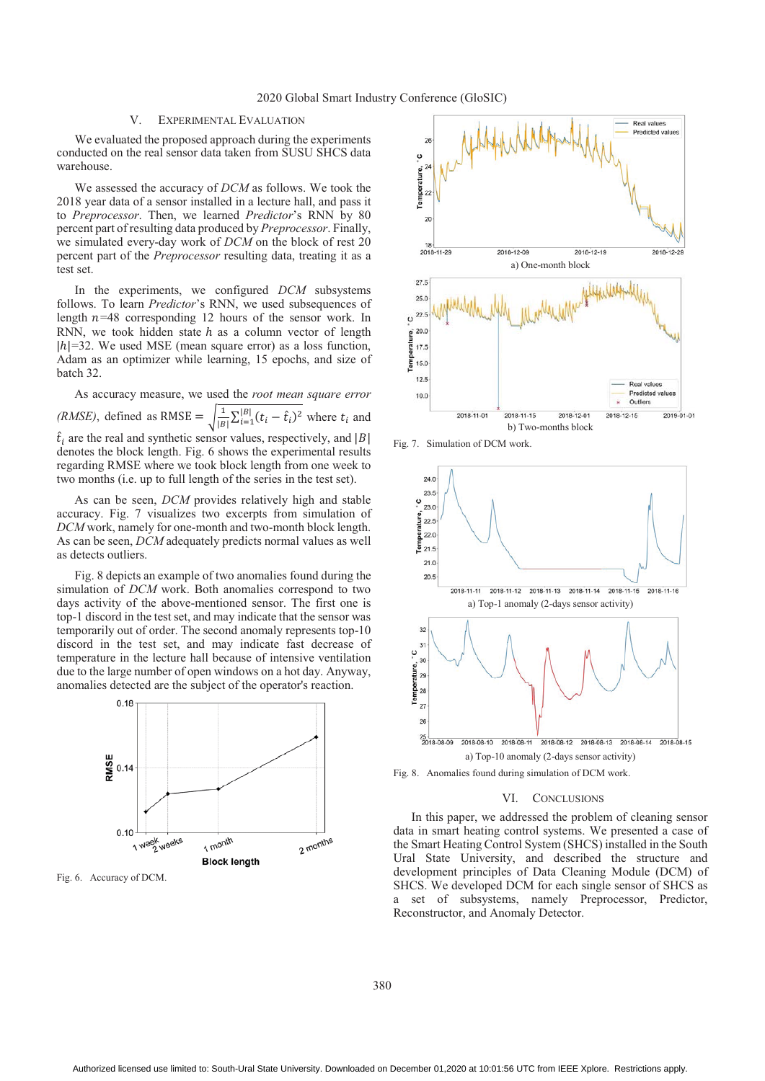# V. EXPERIMENTAL EVALUATION

We evaluated the proposed approach during the experiments conducted on the real sensor data taken from SUSU SHCS data warehouse.

We assessed the accuracy of *DCM* as follows. We took the 2018 year data of a sensor installed in a lecture hall, and pass it to *Preprocessor*. Then, we learned *Predictor*'s RNN by 80 percent part of resulting data produced by *Preprocessor*. Finally, we simulated every-day work of *DCM* on the block of rest 20 percent part of the *Preprocessor* resulting data, treating it as a test set.

In the experiments, we configured *DCM* subsystems follows. To learn *Predictor*'s RNN, we used subsequences of length  $n=48$  corresponding 12 hours of the sensor work. In RNN, we took hidden state  $h$  as a column vector of length  $|h|=32$ . We used MSE (mean square error) as a loss function, Adam as an optimizer while learning, 15 epochs, and size of batch 32.

As accuracy measure, we used the *root mean square error (RMSE)*, defined as RMSE =  $\sqrt{\frac{1}{|B|} \sum_{i=1}^{|B|} (t_i - \hat{t}_i)^2}$  where  $t_i$  and  $\hat{t}_i$  are the real and synthetic sensor values, respectively, and |B| denotes the block length. Fig. 6 shows the experimental results regarding RMSE where we took block length from one week to two months (i.e. up to full length of the series in the test set).

As can be seen, *DCM* provides relatively high and stable accuracy. Fig. 7 visualizes two excerpts from simulation of *DCM* work, namely for one-month and two-month block length. As can be seen, *DCM* adequately predicts normal values as well as detects outliers.

Fig. 8 depicts an example of two anomalies found during the simulation of *DCM* work. Both anomalies correspond to two days activity of the above-mentioned sensor. The first one is top-1 discord in the test set, and may indicate that the sensor was temporarily out of order. The second anomaly represents top-10 discord in the test set, and may indicate fast decrease of temperature in the lecture hall because of intensive ventilation due to the large number of open windows on a hot day. Anyway, anomalies detected are the subject of the operator's reaction.



Fig. 6. Accuracy of DCM.



Fig. 7. Simulation of DCM work.



Fig. 8. Anomalies found during simulation of DCM work.

#### VI. CONCLUSIONS

In this paper, we addressed the problem of cleaning sensor data in smart heating control systems. We presented a case of the Smart Heating Control System (SHCS) installed in the South Ural State University, and described the structure and development principles of Data Cleaning Module (DCM) of SHCS. We developed DCM for each single sensor of SHCS as a set of subsystems, namely Preprocessor, Predictor, Reconstructor, and Anomaly Detector.